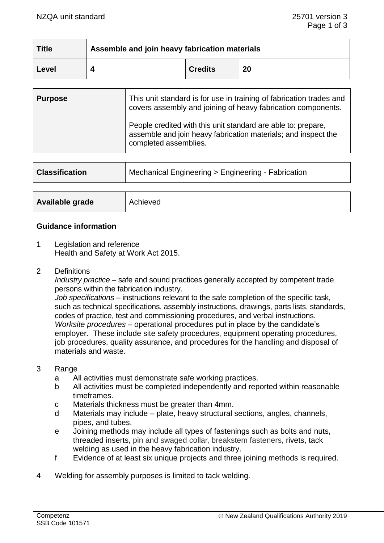| <b>Title</b> | Assemble and join heavy fabrication materials |                |    |
|--------------|-----------------------------------------------|----------------|----|
| Level        |                                               | <b>Credits</b> | 20 |

| <b>Purpose</b> | This unit standard is for use in training of fabrication trades and<br>covers assembly and joining of heavy fabrication components.                      |  |
|----------------|----------------------------------------------------------------------------------------------------------------------------------------------------------|--|
|                | People credited with this unit standard are able to: prepare,<br>assemble and join heavy fabrication materials; and inspect the<br>completed assemblies. |  |

| <b>Classification</b> | Mechanical Engineering > Engineering - Fabrication |  |
|-----------------------|----------------------------------------------------|--|
|                       |                                                    |  |
| Available grade       | Achieved                                           |  |

#### **Guidance information**

- 1 Legislation and reference Health and Safety at Work Act 2015.
- 2 Definitions

*Industry practice* – safe and sound practices generally accepted by competent trade persons within the fabrication industry.

*Job specifications* – instructions relevant to the safe completion of the specific task, such as technical specifications, assembly instructions, drawings, parts lists, standards, codes of practice, test and commissioning procedures, and verbal instructions. *Worksite procedures* – operational procedures put in place by the candidate's employer. These include site safety procedures, equipment operating procedures, job procedures, quality assurance, and procedures for the handling and disposal of materials and waste.

- 3 Range
	- a All activities must demonstrate safe working practices.
	- b All activities must be completed independently and reported within reasonable timeframes.
	- c Materials thickness must be greater than 4mm.
	- d Materials may include plate, heavy structural sections, angles, channels, pipes, and tubes.
	- e Joining methods may include all types of fastenings such as bolts and nuts, threaded inserts, pin and swaged collar, breakstem fasteners, rivets, tack welding as used in the heavy fabrication industry.
	- f Evidence of at least six unique projects and three joining methods is required.
- 4 Welding for assembly purposes is limited to tack welding.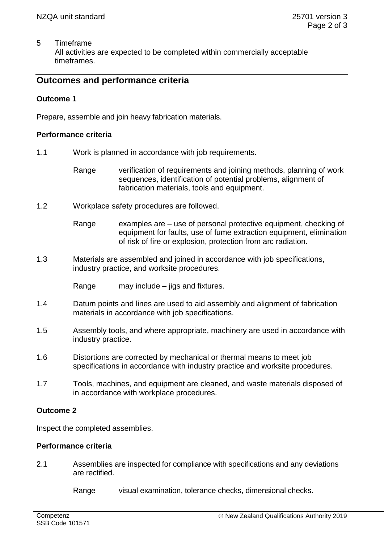5 Timeframe

All activities are expected to be completed within commercially acceptable timeframes.

# **Outcomes and performance criteria**

### **Outcome 1**

Prepare, assemble and join heavy fabrication materials.

### **Performance criteria**

- 1.1 Work is planned in accordance with job requirements.
	- Range verification of requirements and joining methods, planning of work sequences, identification of potential problems, alignment of fabrication materials, tools and equipment.
- 1.2 Workplace safety procedures are followed.
	- Range examples are use of personal protective equipment, checking of equipment for faults, use of fume extraction equipment, elimination of risk of fire or explosion, protection from arc radiation.
- 1.3 Materials are assembled and joined in accordance with job specifications, industry practice, and worksite procedures.

Range may include – jigs and fixtures.

- 1.4 Datum points and lines are used to aid assembly and alignment of fabrication materials in accordance with job specifications.
- 1.5 Assembly tools, and where appropriate, machinery are used in accordance with industry practice.
- 1.6 Distortions are corrected by mechanical or thermal means to meet job specifications in accordance with industry practice and worksite procedures.
- 1.7 Tools, machines, and equipment are cleaned, and waste materials disposed of in accordance with workplace procedures.

## **Outcome 2**

Inspect the completed assemblies.

#### **Performance criteria**

2.1 Assemblies are inspected for compliance with specifications and any deviations are rectified.

Range visual examination, tolerance checks, dimensional checks.